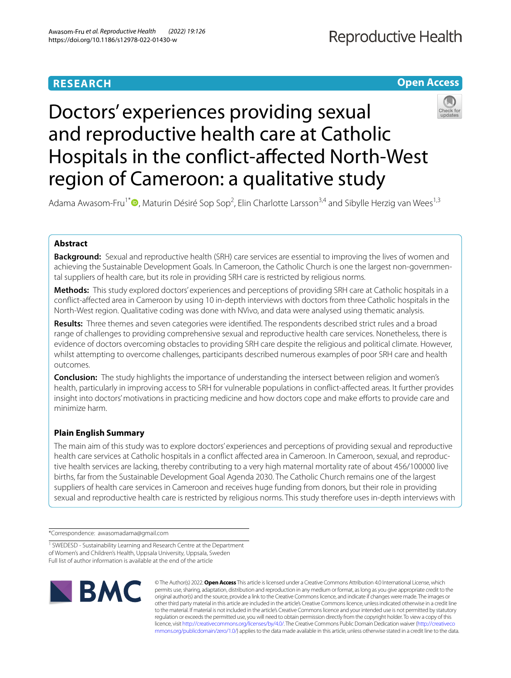## **RESEARCH**



# Doctors' experiences providing sexual and reproductive health care at Catholic Hospitals in the confict‑afected North‑West region of Cameroon: a qualitative study



Adama Awasom-Fru<sup>1[\\*](http://orcid.org/0000-0001-9008-0910)</sup><sup>®</sup>, Maturin Désiré Sop Sop<sup>2</sup>, Elin Charlotte Larsson<sup>3,4</sup> and Sibylle Herzig van Wees<sup>1,3</sup>

## **Abstract**

**Background:** Sexual and reproductive health (SRH) care services are essential to improving the lives of women and achieving the Sustainable Development Goals. In Cameroon, the Catholic Church is one the largest non-governmental suppliers of health care, but its role in providing SRH care is restricted by religious norms.

**Methods:** This study explored doctors' experiences and perceptions of providing SRH care at Catholic hospitals in a confict-afected area in Cameroon by using 10 in-depth interviews with doctors from three Catholic hospitals in the North-West region. Qualitative coding was done with NVivo, and data were analysed using thematic analysis.

**Results:** Three themes and seven categories were identifed. The respondents described strict rules and a broad range of challenges to providing comprehensive sexual and reproductive health care services. Nonetheless, there is evidence of doctors overcoming obstacles to providing SRH care despite the religious and political climate. However, whilst attempting to overcome challenges, participants described numerous examples of poor SRH care and health outcomes.

**Conclusion:** The study highlights the importance of understanding the intersect between religion and women's health, particularly in improving access to SRH for vulnerable populations in confict-afected areas. It further provides insight into doctors' motivations in practicing medicine and how doctors cope and make eforts to provide care and minimize harm.

## **Plain English Summary**

The main aim of this study was to explore doctors' experiences and perceptions of providing sexual and reproductive health care services at Catholic hospitals in a conflict affected area in Cameroon. In Cameroon, sexual, and reproductive health services are lacking, thereby contributing to a very high maternal mortality rate of about 456/100000 live births, far from the Sustainable Development Goal Agenda 2030. The Catholic Church remains one of the largest suppliers of health care services in Cameroon and receives huge funding from donors, but their role in providing sexual and reproductive health care is restricted by religious norms. This study therefore uses in-depth interviews with

\*Correspondence: awasomadama@gmail.com

<sup>&</sup>lt;sup>1</sup> SWEDESD - Sustainability Learning and Research Centre at the Department of Women's and Children's Health, Uppsala University, Uppsala, Sweden Full list of author information is available at the end of the article



© The Author(s) 2022. **Open Access** This article is licensed under a Creative Commons Attribution 4.0 International License, which permits use, sharing, adaptation, distribution and reproduction in any medium or format, as long as you give appropriate credit to the original author(s) and the source, provide a link to the Creative Commons licence, and indicate if changes were made. The images or other third party material in this article are included in the article's Creative Commons licence, unless indicated otherwise in a credit line to the material. If material is not included in the article's Creative Commons licence and your intended use is not permitted by statutory regulation or exceeds the permitted use, you will need to obtain permission directly from the copyright holder. To view a copy of this licence, visit [http://creativecommons.org/licenses/by/4.0/.](http://creativecommons.org/licenses/by/4.0/) The Creative Commons Public Domain Dedication waiver ([http://creativeco](http://creativecommons.org/publicdomain/zero/1.0/) [mmons.org/publicdomain/zero/1.0/](http://creativecommons.org/publicdomain/zero/1.0/)) applies to the data made available in this article, unless otherwise stated in a credit line to the data.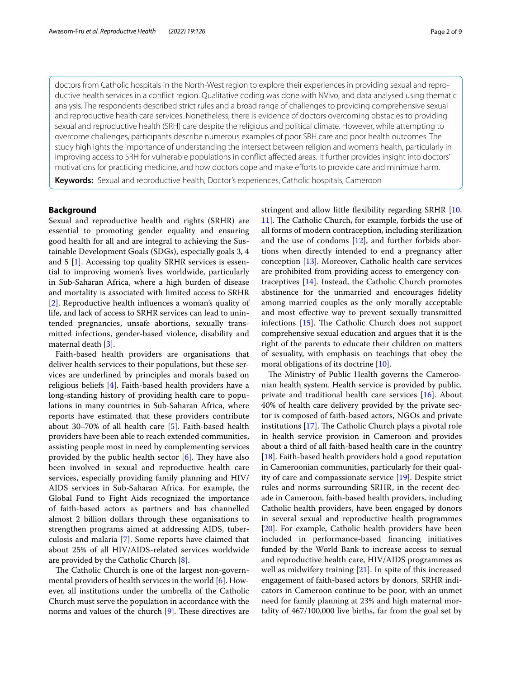doctors from Catholic hospitals in the North-West region to explore their experiences in providing sexual and repro‑ ductive health services in a confict region. Qualitative coding was done with NVivo, and data analysed using thematic analysis. The respondents described strict rules and a broad range of challenges to providing comprehensive sexual and reproductive health care services. Nonetheless, there is evidence of doctors overcoming obstacles to providing sexual and reproductive health (SRH) care despite the religious and political climate. However, while attempting to overcome challenges, participants describe numerous examples of poor SRH care and poor health outcomes. The study highlights the importance of understanding the intersect between religion and women's health, particularly in improving access to SRH for vulnerable populations in confict afected areas. It further provides insight into doctors' motivations for practicing medicine, and how doctors cope and make eforts to provide care and minimize harm.

**Keywords:** Sexual and reproductive health, Doctor's experiences, Catholic hospitals, Cameroon

## **Background**

Sexual and reproductive health and rights (SRHR) are essential to promoting gender equality and ensuring good health for all and are integral to achieving the Sustainable Development Goals (SDGs), especially goals 3, 4 and 5 [\[1](#page-7-0)]. Accessing top quality SRHR services is essential to improving women's lives worldwide, particularly in Sub-Saharan Africa, where a high burden of disease and mortality is associated with limited access to SRHR [[2\]](#page-7-1). Reproductive health infuences a woman's quality of life, and lack of access to SRHR services can lead to unintended pregnancies, unsafe abortions, sexually transmitted infections, gender-based violence, disability and maternal death [[3\]](#page-7-2).

Faith-based health providers are organisations that deliver health services to their populations, but these services are underlined by principles and morals based on religious beliefs [[4\]](#page-7-3). Faith-based health providers have a long-standing history of providing health care to populations in many countries in Sub-Saharan Africa, where reports have estimated that these providers contribute about 30‒70% of all health care [[5\]](#page-7-4). Faith-based health providers have been able to reach extended communities, assisting people most in need by complementing services provided by the public health sector  $[6]$  $[6]$ . They have also been involved in sexual and reproductive health care services, especially providing family planning and HIV/ AIDS services in Sub-Saharan Africa. For example, the Global Fund to Fight Aids recognized the importance of faith-based actors as partners and has channelled almost 2 billion dollars through these organisations to strengthen programs aimed at addressing AIDS, tuberculosis and malaria [[7\]](#page-8-1). Some reports have claimed that about 25% of all HIV/AIDS-related services worldwide are provided by the Catholic Church [\[8\]](#page-8-2).

The Catholic Church is one of the largest non-governmental providers of health services in the world [[6\]](#page-8-0). However, all institutions under the umbrella of the Catholic Church must serve the population in accordance with the norms and values of the church  $[9]$  $[9]$ . These directives are stringent and allow little fexibility regarding SRHR [[10](#page-8-4), [11\]](#page-8-5). The Catholic Church, for example, forbids the use of all forms of modern contraception, including sterilization and the use of condoms  $[12]$  $[12]$ , and further forbids abortions when directly intended to end a pregnancy after conception [[13](#page-8-7)]. Moreover, Catholic health care services are prohibited from providing access to emergency contraceptives [[14\]](#page-8-8). Instead, the Catholic Church promotes abstinence for the unmarried and encourages fdelity among married couples as the only morally acceptable and most efective way to prevent sexually transmitted infections  $[15]$  $[15]$ . The Catholic Church does not support comprehensive sexual education and argues that it is the right of the parents to educate their children on matters of sexuality, with emphasis on teachings that obey the moral obligations of its doctrine [\[10\]](#page-8-4).

The Ministry of Public Health governs the Cameroonian health system. Health service is provided by public, private and traditional health care services [\[16](#page-8-10)]. About 40% of health care delivery provided by the private sector is composed of faith-based actors, NGOs and private institutions  $[17]$  $[17]$ . The Catholic Church plays a pivotal role in health service provision in Cameroon and provides about a third of all faith-based health care in the country [[18\]](#page-8-12). Faith-based health providers hold a good reputation in Cameroonian communities, particularly for their quality of care and compassionate service [\[19\]](#page-8-13). Despite strict rules and norms surrounding SRHR, in the recent decade in Cameroon, faith-based health providers, including Catholic health providers, have been engaged by donors in several sexual and reproductive health programmes [[20\]](#page-8-14). For example, Catholic health providers have been included in performance-based fnancing initiatives funded by the World Bank to increase access to sexual and reproductive health care, HIV/AIDS programmes as well as midwifery training [\[21](#page-8-15)]. In spite of this increased engagement of faith-based actors by donors, SRHR indicators in Cameroon continue to be poor, with an unmet need for family planning at 23% and high maternal mortality of 467/100,000 live births, far from the goal set by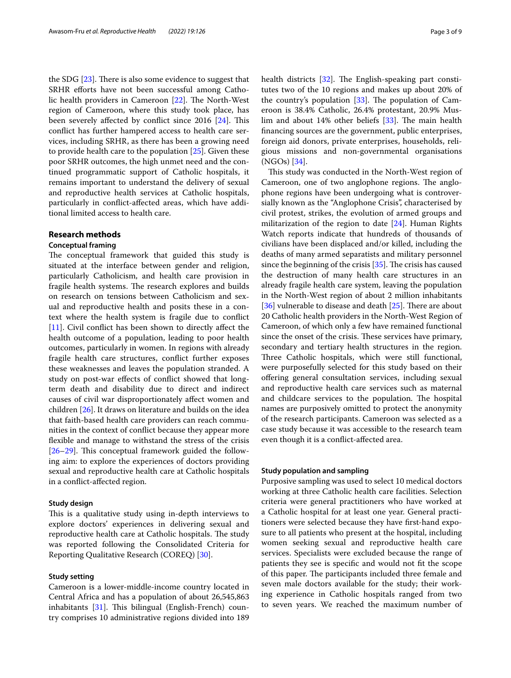the SDG  $[23]$  $[23]$ . There is also some evidence to suggest that SRHR efforts have not been successful among Catholic health providers in Cameroon  $[22]$  $[22]$ . The North-West region of Cameroon, where this study took place, has been severely affected by conflict since 2016 [[24\]](#page-8-18). This confict has further hampered access to health care services, including SRHR, as there has been a growing need to provide health care to the population [[25\]](#page-8-19). Given these poor SRHR outcomes, the high unmet need and the continued programmatic support of Catholic hospitals, it remains important to understand the delivery of sexual and reproductive health services at Catholic hospitals, particularly in confict-afected areas, which have additional limited access to health care.

## **Research methods**

#### **Conceptual framing**

The conceptual framework that guided this study is situated at the interface between gender and religion, particularly Catholicism, and health care provision in fragile health systems. The research explores and builds on research on tensions between Catholicism and sexual and reproductive health and posits these in a context where the health system is fragile due to confict [[11\]](#page-8-5). Civil conflict has been shown to directly affect the health outcome of a population, leading to poor health outcomes, particularly in women. In regions with already fragile health care structures, confict further exposes these weaknesses and leaves the population stranded. A study on post-war efects of confict showed that longterm death and disability due to direct and indirect causes of civil war disproportionately afect women and children [[26\]](#page-8-20). It draws on literature and builds on the idea that faith-based health care providers can reach communities in the context of confict because they appear more fexible and manage to withstand the stress of the crisis  $[26–29]$  $[26–29]$  $[26–29]$  $[26–29]$ . This conceptual framework guided the following aim: to explore the experiences of doctors providing sexual and reproductive health care at Catholic hospitals in a confict-afected region.

## **Study design**

This is a qualitative study using in-depth interviews to explore doctors' experiences in delivering sexual and reproductive health care at Catholic hospitals. The study was reported following the Consolidated Criteria for Reporting Qualitative Research (COREQ) [[30\]](#page-8-22).

## **Study setting**

Cameroon is a lower-middle-income country located in Central Africa and has a population of about 26,545,863 inhabitants  $[31]$  $[31]$  $[31]$ . This bilingual (English-French) country comprises 10 administrative regions divided into 189 health districts  $[32]$  $[32]$ . The English-speaking part constitutes two of the 10 regions and makes up about 20% of the country's population  $[33]$  $[33]$  $[33]$ . The population of Cameroon is 38.4% Catholic, 26.4% protestant, 20.9% Mus-lim and about 14% other beliefs [\[33](#page-8-25)]. The main health fnancing sources are the government, public enterprises, foreign aid donors, private enterprises, households, religious missions and non-governmental organisations (NGOs) [\[34](#page-8-26)].

This study was conducted in the North-West region of Cameroon, one of two anglophone regions. The anglophone regions have been undergoing what is controversially known as the "Anglophone Crisis", characterised by civil protest, strikes, the evolution of armed groups and militarization of the region to date [\[24\]](#page-8-18). Human Rights Watch reports indicate that hundreds of thousands of civilians have been displaced and/or killed, including the deaths of many armed separatists and military personnel since the beginning of the crisis  $[35]$  $[35]$ . The crisis has caused the destruction of many health care structures in an already fragile health care system, leaving the population in the North-West region of about 2 million inhabitants [ $36$ ] vulnerable to disease and death [ $25$ ]. There are about 20 Catholic health providers in the North-West Region of Cameroon, of which only a few have remained functional since the onset of the crisis. These services have primary, secondary and tertiary health structures in the region. Three Catholic hospitals, which were still functional, were purposefully selected for this study based on their ofering general consultation services, including sexual and reproductive health care services such as maternal and childcare services to the population. The hospital names are purposively omitted to protect the anonymity of the research participants. Cameroon was selected as a case study because it was accessible to the research team even though it is a confict-afected area.

## **Study population and sampling**

Purposive sampling was used to select 10 medical doctors working at three Catholic health care facilities. Selection criteria were general practitioners who have worked at a Catholic hospital for at least one year. General practitioners were selected because they have frst-hand exposure to all patients who present at the hospital, including women seeking sexual and reproductive health care services. Specialists were excluded because the range of patients they see is specifc and would not ft the scope of this paper. The participants included three female and seven male doctors available for the study; their working experience in Catholic hospitals ranged from two to seven years. We reached the maximum number of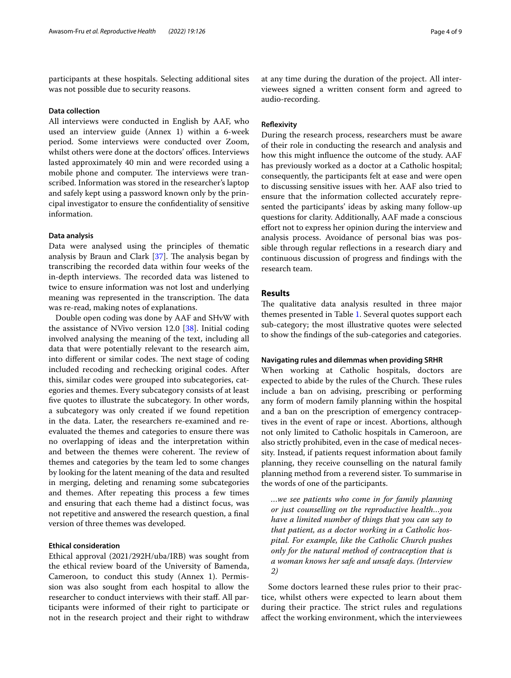participants at these hospitals. Selecting additional sites was not possible due to security reasons.

## **Data collection**

All interviews were conducted in English by AAF, who used an interview guide (Annex 1) within a 6-week period. Some interviews were conducted over Zoom, whilst others were done at the doctors' offices. Interviews lasted approximately 40 min and were recorded using a mobile phone and computer. The interviews were transcribed. Information was stored in the researcher's laptop and safely kept using a password known only by the principal investigator to ensure the confdentiality of sensitive information.

## **Data analysis**

Data were analysed using the principles of thematic analysis by Braun and Clark  $[37]$  $[37]$  $[37]$ . The analysis began by transcribing the recorded data within four weeks of the in-depth interviews. The recorded data was listened to twice to ensure information was not lost and underlying meaning was represented in the transcription. The data was re-read, making notes of explanations.

Double open coding was done by AAF and SHvW with the assistance of NVivo version 12.0 [\[38](#page-8-30)]. Initial coding involved analysing the meaning of the text, including all data that were potentially relevant to the research aim, into different or similar codes. The next stage of coding included recoding and rechecking original codes. After this, similar codes were grouped into subcategories, categories and themes. Every subcategory consists of at least fve quotes to illustrate the subcategory. In other words, a subcategory was only created if we found repetition in the data. Later, the researchers re-examined and reevaluated the themes and categories to ensure there was no overlapping of ideas and the interpretation within and between the themes were coherent. The review of themes and categories by the team led to some changes by looking for the latent meaning of the data and resulted in merging, deleting and renaming some subcategories and themes. After repeating this process a few times and ensuring that each theme had a distinct focus, was not repetitive and answered the research question, a fnal version of three themes was developed.

## **Ethical consideration**

Ethical approval (2021/292H/uba/IRB) was sought from the ethical review board of the University of Bamenda, Cameroon, to conduct this study (Annex 1). Permission was also sought from each hospital to allow the researcher to conduct interviews with their staf. All participants were informed of their right to participate or not in the research project and their right to withdraw at any time during the duration of the project. All interviewees signed a written consent form and agreed to audio-recording.

## **Refexivity**

During the research process, researchers must be aware of their role in conducting the research and analysis and how this might infuence the outcome of the study. AAF has previously worked as a doctor at a Catholic hospital; consequently, the participants felt at ease and were open to discussing sensitive issues with her. AAF also tried to ensure that the information collected accurately represented the participants' ideas by asking many follow-up questions for clarity. Additionally, AAF made a conscious efort not to express her opinion during the interview and analysis process. Avoidance of personal bias was possible through regular refections in a research diary and continuous discussion of progress and fndings with the research team.

## **Results**

The qualitative data analysis resulted in three major themes presented in Table [1](#page-4-0). Several quotes support each sub-category; the most illustrative quotes were selected to show the fndings of the sub-categories and categories.

## **Navigating rules and dilemmas when providing SRHR**

When working at Catholic hospitals, doctors are expected to abide by the rules of the Church. These rules include a ban on advising, prescribing or performing any form of modern family planning within the hospital and a ban on the prescription of emergency contraceptives in the event of rape or incest. Abortions, although not only limited to Catholic hospitals in Cameroon, are also strictly prohibited, even in the case of medical necessity. Instead, if patients request information about family planning, they receive counselling on the natural family planning method from a reverend sister. To summarise in the words of one of the participants.

*…we see patients who come in for family planning or just counselling on the reproductive health…you have a limited number of things that you can say to that patient, as a doctor working in a Catholic hospital. For example, like the Catholic Church pushes only for the natural method of contraception that is a woman knows her safe and unsafe days. (Interview 2)*

Some doctors learned these rules prior to their practice, whilst others were expected to learn about them during their practice. The strict rules and regulations afect the working environment, which the interviewees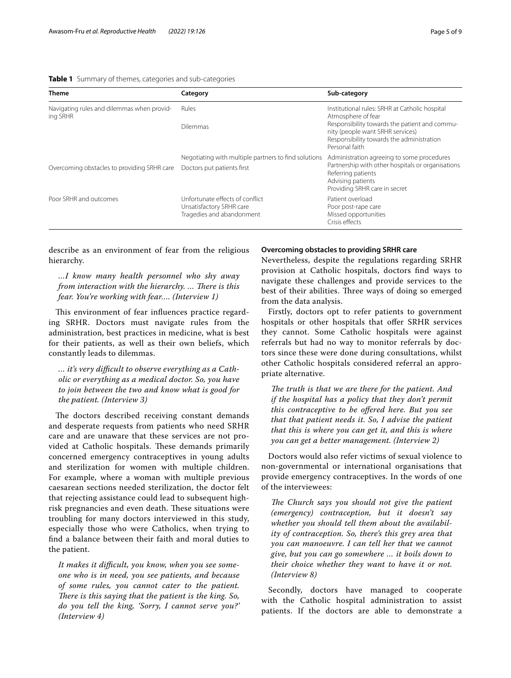#### <span id="page-4-0"></span>**Table 1** Summary of themes, categories and sub-categories

| <b>Theme</b>                                           | Category                                                                                 | Sub-category                                                                                                                                                                                                             |
|--------------------------------------------------------|------------------------------------------------------------------------------------------|--------------------------------------------------------------------------------------------------------------------------------------------------------------------------------------------------------------------------|
| Navigating rules and dilemmas when provid-<br>ing SRHR | Rules<br><b>Dilemmas</b>                                                                 | Institutional rules: SRHR at Catholic hospital<br>Atmosphere of fear<br>Responsibility towards the patient and commu-<br>nity (people want SRHR services)<br>Responsibility towards the administration<br>Personal faith |
| Overcoming obstacles to providing SRHR care            | Negotiating with multiple partners to find solutions<br>Doctors put patients first       | Administration agreeing to some procedures<br>Partnership with other hospitals or organisations<br>Referring patients<br>Advising patients<br>Providing SRHR care in secret                                              |
| Poor SRHR and outcomes                                 | Unfortunate effects of conflict<br>Unsatisfactory SRHR care<br>Tragedies and abandonment | Patient overload<br>Poor post-rape care<br>Missed opportunities<br>Crisis effects                                                                                                                                        |

describe as an environment of fear from the religious hierarchy.

*…I know many health personnel who shy away from interaction with the hierarchy. ... There is this fear. You're working with fear…. (Interview 1)*

This environment of fear influences practice regarding SRHR. Doctors must navigate rules from the administration, best practices in medicine, what is best for their patients, as well as their own beliefs, which constantly leads to dilemmas.

*… it's very difcult to observe everything as a Catholic or everything as a medical doctor. So, you have to join between the two and know what is good for the patient. (Interview 3)*

The doctors described receiving constant demands and desperate requests from patients who need SRHR care and are unaware that these services are not provided at Catholic hospitals. These demands primarily concerned emergency contraceptives in young adults and sterilization for women with multiple children. For example, where a woman with multiple previous caesarean sections needed sterilization, the doctor felt that rejecting assistance could lead to subsequent highrisk pregnancies and even death. These situations were troubling for many doctors interviewed in this study, especially those who were Catholics, when trying to fnd a balance between their faith and moral duties to the patient.

*It makes it difcult, you know, when you see someone who is in need, you see patients, and because of some rules, you cannot cater to the patient. There is this saying that the patient is the king. So, do you tell the king, 'Sorry, I cannot serve you?' (Interview 4)*

## **Overcoming obstacles to providing SRHR care**

Nevertheless, despite the regulations regarding SRHR provision at Catholic hospitals, doctors fnd ways to navigate these challenges and provide services to the best of their abilities. Three ways of doing so emerged from the data analysis.

Firstly, doctors opt to refer patients to government hospitals or other hospitals that offer SRHR services they cannot. Some Catholic hospitals were against referrals but had no way to monitor referrals by doctors since these were done during consultations, whilst other Catholic hospitals considered referral an appropriate alternative.

The truth is that we are there for the patient. And *if the hospital has a policy that they don't permit this contraceptive to be ofered here. But you see that that patient needs it. So, I advise the patient that this is where you can get it, and this is where you can get a better management. (Interview 2)*

Doctors would also refer victims of sexual violence to non-governmental or international organisations that provide emergency contraceptives. In the words of one of the interviewees:

The Church says you should not give the patient *(emergency) contraception, but it doesn't say whether you should tell them about the availability of contraception. So, there's this grey area that you can manoeuvre. I can tell her that we cannot give, but you can go somewhere … it boils down to their choice whether they want to have it or not. (Interview 8)*

Secondly, doctors have managed to cooperate with the Catholic hospital administration to assist patients. If the doctors are able to demonstrate a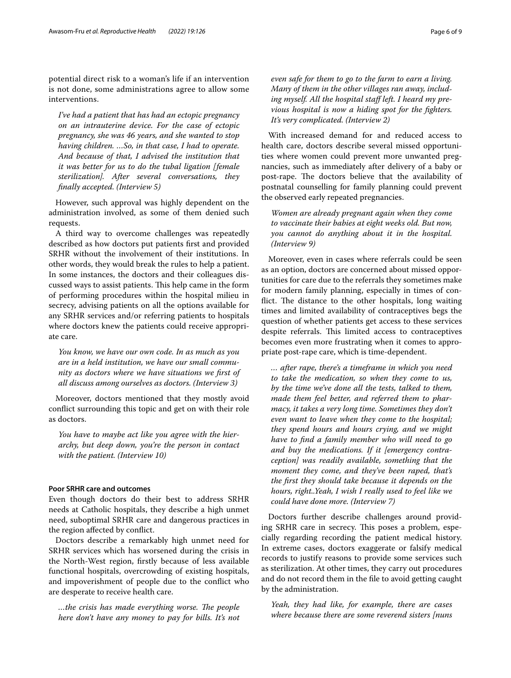potential direct risk to a woman's life if an intervention is not done, some administrations agree to allow some interventions.

*I've had a patient that has had an ectopic pregnancy on an intrauterine device. For the case of ectopic pregnancy, she was 46 years, and she wanted to stop having children. …So, in that case, I had to operate. And because of that, I advised the institution that it was better for us to do the tubal ligation [female sterilization]. After several conversations, they fnally accepted. (Interview 5)*

However, such approval was highly dependent on the administration involved, as some of them denied such requests.

A third way to overcome challenges was repeatedly described as how doctors put patients frst and provided SRHR without the involvement of their institutions. In other words, they would break the rules to help a patient. In some instances, the doctors and their colleagues discussed ways to assist patients. This help came in the form of performing procedures within the hospital milieu in secrecy, advising patients on all the options available for any SRHR services and/or referring patients to hospitals where doctors knew the patients could receive appropriate care.

*You know, we have our own code. In as much as you are in a held institution, we have our small community as doctors where we have situations we frst of all discuss among ourselves as doctors. (Interview 3)*

Moreover, doctors mentioned that they mostly avoid confict surrounding this topic and get on with their role as doctors.

*You have to maybe act like you agree with the hierarchy, but deep down, you're the person in contact with the patient. (Interview 10)*

## **Poor SRHR care and outcomes**

Even though doctors do their best to address SRHR needs at Catholic hospitals, they describe a high unmet need, suboptimal SRHR care and dangerous practices in the region afected by confict.

Doctors describe a remarkably high unmet need for SRHR services which has worsened during the crisis in the North-West region, frstly because of less available functional hospitals, overcrowding of existing hospitals, and impoverishment of people due to the confict who are desperate to receive health care.

 $...$ *the crisis has made everything worse. The people here don't have any money to pay for bills. It's not*  *even safe for them to go to the farm to earn a living. Many of them in the other villages ran away, including myself. All the hospital staf left. I heard my previous hospital is now a hiding spot for the fghters. It's very complicated. (Interview 2)*

With increased demand for and reduced access to health care, doctors describe several missed opportunities where women could prevent more unwanted pregnancies, such as immediately after delivery of a baby or post-rape. The doctors believe that the availability of postnatal counselling for family planning could prevent the observed early repeated pregnancies.

*Women are already pregnant again when they come to vaccinate their babies at eight weeks old. But now, you cannot do anything about it in the hospital. (Interview 9)*

Moreover, even in cases where referrals could be seen as an option, doctors are concerned about missed opportunities for care due to the referrals they sometimes make for modern family planning, especially in times of conflict. The distance to the other hospitals, long waiting times and limited availability of contraceptives begs the question of whether patients get access to these services despite referrals. This limited access to contraceptives becomes even more frustrating when it comes to appropriate post-rape care, which is time-dependent.

*… after rape, there's a timeframe in which you need to take the medication, so when they come to us, by the time we've done all the tests, talked to them, made them feel better, and referred them to pharmacy, it takes a very long time. Sometimes they don't even want to leave when they come to the hospital; they spend hours and hours crying, and we might have to fnd a family member who will need to go and buy the medications. If it [emergency contraception] was readily available, something that the moment they come, and they've been raped, that's the frst they should take because it depends on the hours, right..Yeah, I wish I really used to feel like we could have done more. (Interview 7)*

Doctors further describe challenges around providing SRHR care in secrecy. This poses a problem, especially regarding recording the patient medical history. In extreme cases, doctors exaggerate or falsify medical records to justify reasons to provide some services such as sterilization. At other times, they carry out procedures and do not record them in the fle to avoid getting caught by the administration.

*Yeah, they had like, for example, there are cases where because there are some reverend sisters [nuns*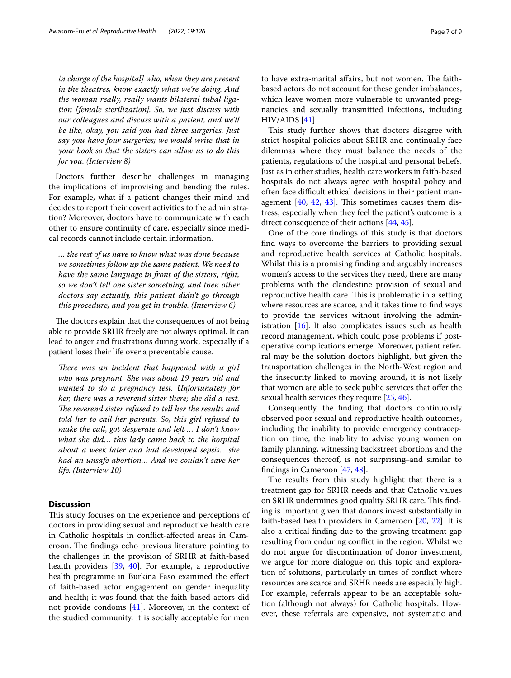*in charge of the hospital] who, when they are present in the theatres, know exactly what we're doing. And the woman really, really wants bilateral tubal ligation [female sterilization]. So, we just discuss with our colleagues and discuss with a patient, and we'll be like, okay, you said you had three surgeries. Just say you have four surgeries; we would write that in your book so that the sisters can allow us to do this for you. (Interview 8)*

Doctors further describe challenges in managing the implications of improvising and bending the rules. For example, what if a patient changes their mind and decides to report their covert activities to the administration? Moreover, doctors have to communicate with each other to ensure continuity of care, especially since medical records cannot include certain information.

*… the rest of us have to know what was done because we sometimes follow up the same patient. We need to have the same language in front of the sisters, right, so we don't tell one sister something, and then other doctors say actually, this patient didn't go through this procedure, and you get in trouble. (Interview 6)*

The doctors explain that the consequences of not being able to provide SRHR freely are not always optimal. It can lead to anger and frustrations during work, especially if a patient loses their life over a preventable cause.

There was an incident that happened with a girl *who was pregnant. She was about 19 years old and wanted to do a pregnancy test. Unfortunately for her, there was a reverend sister there; she did a test. The reverend sister refused to tell her the results and told her to call her parents. So, this girl refused to make the call, got desperate and left … I don't know what she did… this lady came back to the hospital about a week later and had developed sepsis... she had an unsafe abortion… And we couldn't save her life. (Interview 10)*

## **Discussion**

This study focuses on the experience and perceptions of doctors in providing sexual and reproductive health care in Catholic hospitals in confict-afected areas in Cameroon. The findings echo previous literature pointing to the challenges in the provision of SRHR at faith-based health providers [\[39](#page-8-31), [40\]](#page-8-32). For example, a reproductive health programme in Burkina Faso examined the efect of faith-based actor engagement on gender inequality and health; it was found that the faith-based actors did not provide condoms [\[41\]](#page-8-33). Moreover, in the context of the studied community, it is socially acceptable for men to have extra-marital affairs, but not women. The faithbased actors do not account for these gender imbalances, which leave women more vulnerable to unwanted pregnancies and sexually transmitted infections, including HIV/AIDS [\[41](#page-8-33)].

This study further shows that doctors disagree with strict hospital policies about SRHR and continually face dilemmas where they must balance the needs of the patients, regulations of the hospital and personal beliefs. Just as in other studies, health care workers in faith-based hospitals do not always agree with hospital policy and often face difficult ethical decisions in their patient management  $[40, 42, 43]$  $[40, 42, 43]$  $[40, 42, 43]$  $[40, 42, 43]$  $[40, 42, 43]$  $[40, 42, 43]$ . This sometimes causes them distress, especially when they feel the patient's outcome is a direct consequence of their actions [[44,](#page-8-36) [45](#page-8-37)].

One of the core fndings of this study is that doctors fnd ways to overcome the barriers to providing sexual and reproductive health services at Catholic hospitals. Whilst this is a promising fnding and arguably increases women's access to the services they need, there are many problems with the clandestine provision of sexual and reproductive health care. This is problematic in a setting where resources are scarce, and it takes time to fnd ways to provide the services without involving the administration  $[16]$  $[16]$ . It also complicates issues such as health record management, which could pose problems if postoperative complications emerge. Moreover, patient referral may be the solution doctors highlight, but given the transportation challenges in the North-West region and the insecurity linked to moving around, it is not likely that women are able to seek public services that offer the sexual health services they require [[25,](#page-8-19) [46](#page-8-38)].

Consequently, the fnding that doctors continuously observed poor sexual and reproductive health outcomes, including the inability to provide emergency contraception on time, the inability to advise young women on family planning, witnessing backstreet abortions and the consequences thereof, is not surprising-and similar to fndings in Cameroon [\[47](#page-8-39), [48](#page-8-40)].

The results from this study highlight that there is a treatment gap for SRHR needs and that Catholic values on SRHR undermines good quality SRHR care. This finding is important given that donors invest substantially in faith-based health providers in Cameroon [[20](#page-8-14), [22](#page-8-17)]. It is also a critical fnding due to the growing treatment gap resulting from enduring confict in the region. Whilst we do not argue for discontinuation of donor investment, we argue for more dialogue on this topic and exploration of solutions, particularly in times of confict where resources are scarce and SRHR needs are especially high. For example, referrals appear to be an acceptable solution (although not always) for Catholic hospitals. However, these referrals are expensive, not systematic and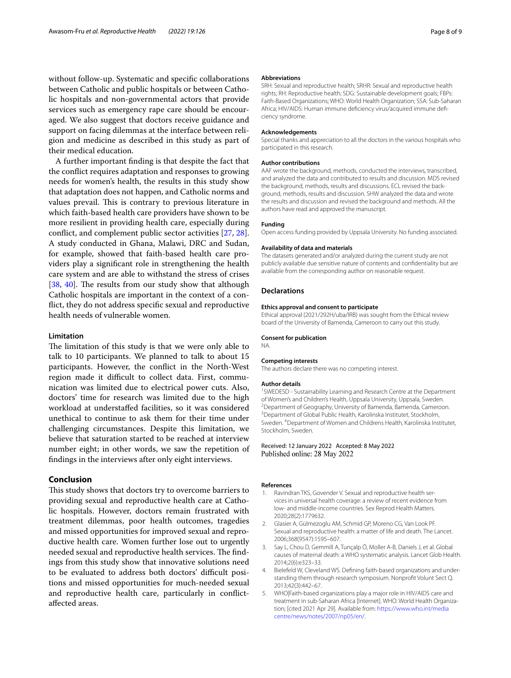without follow-up. Systematic and specifc collaborations between Catholic and public hospitals or between Catholic hospitals and non-governmental actors that provide services such as emergency rape care should be encouraged. We also suggest that doctors receive guidance and support on facing dilemmas at the interface between religion and medicine as described in this study as part of their medical education.

A further important fnding is that despite the fact that the confict requires adaptation and responses to growing needs for women's health, the results in this study show that adaptation does not happen, and Catholic norms and values prevail. This is contrary to previous literature in which faith-based health care providers have shown to be more resilient in providing health care, especially during confict, and complement public sector activities [[27,](#page-8-41) [28](#page-8-42)]. A study conducted in Ghana, Malawi, DRC and Sudan, for example, showed that faith-based health care providers play a signifcant role in strengthening the health care system and are able to withstand the stress of crises [[38,](#page-8-30) [40](#page-8-32)]. The results from our study show that although Catholic hospitals are important in the context of a confict, they do not address specifc sexual and reproductive health needs of vulnerable women.

## **Limitation**

The limitation of this study is that we were only able to talk to 10 participants. We planned to talk to about 15 participants. However, the confict in the North-West region made it difficult to collect data. First, communication was limited due to electrical power cuts. Also, doctors' time for research was limited due to the high workload at understafed facilities, so it was considered unethical to continue to ask them for their time under challenging circumstances. Despite this limitation, we believe that saturation started to be reached at interview number eight; in other words, we saw the repetition of fndings in the interviews after only eight interviews.

## **Conclusion**

This study shows that doctors try to overcome barriers to providing sexual and reproductive health care at Catholic hospitals. However, doctors remain frustrated with treatment dilemmas, poor health outcomes, tragedies and missed opportunities for improved sexual and reproductive health care. Women further lose out to urgently needed sexual and reproductive health services. The findings from this study show that innovative solutions need to be evaluated to address both doctors' difficult positions and missed opportunities for much-needed sexual and reproductive health care, particularly in confictafected areas.

#### **Abbreviations**

SRH: Sexual and reproductive health; SRHR: Sexual and reproductive health rights; RH: Reproductive health; SDG: Sustainable development goals; FBPs: Faith-Based Organizations; WHO: World Health Organization; SSA: Sub-Saharan Africa; HIV/AIDS: Human immune deficiency virus/acquired immune deficiency syndrome.

#### **Acknowledgements**

Special thanks and appreciation to all the doctors in the various hospitals who participated in this research.

#### **Author contributions**

AAF wrote the background, methods, conducted the interviews, transcribed, and analyzed the data and contributed to results and discussion. MDS revised the background, methods, results and discussions. ECL revised the background, methods, results and discussion. SHW analyzed the data and wrote the results and discussion and revised the background and methods. All the authors have read and approved the manuscript.

#### **Funding**

Open access funding provided by Uppsala University. No funding associated.

#### **Availability of data and materials**

The datasets generated and/or analyzed during the current study are not publicly available due sensitive nature of contents and confdentiality but are available from the corresponding author on reasonable request.

## **Declarations**

#### **Ethics approval and consent to participate**

Ethical approval (2021/292H/uba/IRB) was sought from the Ethical review board of the University of Bamenda, Cameroon to carry out this study.

#### **Consent for publication**

NA.

#### **Competing interests**

The authors declare there was no competing interest.

#### **Author details**

<sup>1</sup> SWEDESD - Sustainability Learning and Research Centre at the Department of Women's and Children's Health, Uppsala University, Uppsala, Sweden.<br><sup>2</sup> Department of Geography, University of Bamenda, Bamenda, Gameroo <sup>2</sup> Department of Geography, University of Bamenda, Bamenda, Cameroon.<br><sup>3</sup> Department of Global Bublic Hoalth. Karolinska Institutet, Stockholm. <sup>3</sup> Department of Global Public Health, Karolinska Institutet, Stockholm, Sweden. 4 Department of Women and Childrens Health, Karolinska Institutet, Stockholm, Sweden.

## Received: 12 January 2022 Accepted: 8 May 2022 Published online: 28 May 2022

#### **References**

- <span id="page-7-0"></span>1. Ravindran TKS, Govender V. Sexual and reproductive health services in universal health coverage: a review of recent evidence from low- and middle-income countries. Sex Reprod Health Matters. 2020;28(2):1779632.
- <span id="page-7-1"></span>2. Glasier A, Gülmezoglu AM, Schmid GP, Moreno CG, Van Look PF. Sexual and reproductive health: a matter of life and death. The Lancet. 2006;368(9547):1595–607.
- <span id="page-7-2"></span>3. Say L, Chou D, Gemmill A, Tunçalp Ö, Moller A-B, Daniels J, et al. Global causes of maternal death: a WHO systematic analysis. Lancet Glob Health. 2014;2(6):e323–33.
- <span id="page-7-3"></span>4. Bielefeld W, Cleveland WS. Defining faith-based organizations and understanding them through research symposium. Nonproft Volunt Sect Q. 2013;42(3):442–67.
- <span id="page-7-4"></span>5. WHO|Faith-based organizations play a major role in HIV/AIDS care and treatment in sub-Saharan Africa [Internet]. WHO. World Health Organization; [cited 2021 Apr 29]. Available from: [https://www.who.int/media](https://www.who.int/mediacentre/news/notes/2007/np05/en/) [centre/news/notes/2007/np05/en/](https://www.who.int/mediacentre/news/notes/2007/np05/en/).